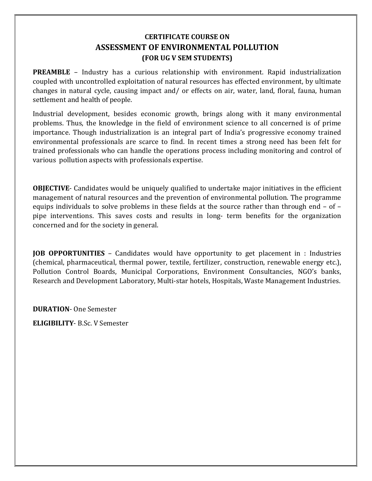## CERTIFICATE COURSE ON ASSESSMENT OF ENVIRONMENTAL POLLUTION (FOR UG V SEM STUDENTS)

**PREAMBLE** – Industry has a curious relationship with environment. Rapid industrialization coupled with uncontrolled exploitation of natural resources has effected environment, by ultimate changes in natural cycle, causing impact and/ or effects on air, water, land, floral, fauna, human settlement and health of people.

Industrial development, besides economic growth, brings along with it many environmental problems. Thus, the knowledge in the field of environment science to all concerned is of prime importance. Though industrialization is an integral part of India's progressive economy trained environmental professionals are scarce to find. In recent times a strong need has been felt for trained professionals who can handle the operations process including monitoring and control of various pollution aspects with professionals expertise.

OBJECTIVE- Candidates would be uniquely qualified to undertake major initiatives in the efficient management of natural resources and the prevention of environmental pollution. The programme equips individuals to solve problems in these fields at the source rather than through end – of – pipe interventions. This saves costs and results in long- term benefits for the organization concerned and for the society in general.

JOB OPPORTUNITIES – Candidates would have opportunity to get placement in : Industries (chemical, pharmaceutical, thermal power, textile, fertilizer, construction, renewable energy etc.), Pollution Control Boards, Municipal Corporations, Environment Consultancies, NGO's banks, Research and Development Laboratory, Multi-star hotels, Hospitals, Waste Management Industries.

DURATION- One Semester

ELIGIBILITY- B.Sc. V Semester